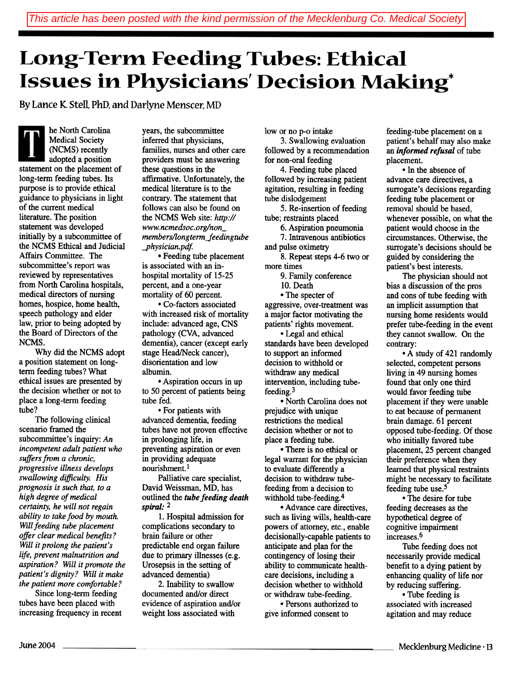## **Long-Term Feeding Tubes: Ethical Issues in Physicians' Decision Making\***

By Lance K. Stell. PhD, and Darlyne Menscer, MD

he North Carolina Medical Society (NCMS) recently adopted a position statement on the placement of long-term feeding tubes. Its purpose is to provide ethical guidance to physicians in light of the current medical literature. The position statement was developed initially by a subcommittee of the NCMS Ethical and Judicial Affairs Committee. The subcommittee's report was reviewed by representatives from North Carolina hospitals, medical directors of nursing homes, hospice, home health, speech pathology and elder law, prior to being adopted by the Board of Directors of the NCMS.

Why did the NCMS adopt a position statement on longterm feeding tubes? What ethical issues are presented by the decision whether or not to place a long-term feeding tube?

The following clinical scenario framed the subcommittee's inquiry: An incompetent adult patient who suffers from a chronic, progressive illness develops swallowing difficulty. His prognosis is such that, to a high degree of medical certainty, he will not regain ability to take food by mouth. Will feeding tube placement offer clear medical benefits? Will it prolong the patient's life, prevent malnutrition and aspiration? Will it promote the patient's dignity? Will it make the patient more comfortable?

Since long-term feeding tubes have been placed with increasing frequency in recent

years, the subcommittee inferred that physicians, families, nurses and other care providers must be answering these questions in the affirmative. Unfortunately, the medical literature is to the contrary. The statement that follows can also be found on the NCMS Web site: http:// www.ncmedsoc.org/nonmembers/longterm\_feedingtube -physician. pdt

.Feeding tube placement is associated with an inhospital mortality of 15-25 percent, and a one-year mortality of 60 percent.

.Co-factors associated with increased risk of mortality include: advanced age, CNS pathology (CVA, advanced dementia), cancer (except early stage Head/Neck cancer), disorientation and low albumin.

.Aspiration occurs in up to 50 percent of patients being tube fed.

• For patients with advanced dementia, feeding tubes have not proven effective in prolonging life, in preventing aspiration or even in providing adequate nourishment.!

Palliative care specialist, David Weissman, MD, has outlined the tube feeding death spiral: 2

1. Hospital admission for complications secondary to brain failure or other predictable end organ failure due to primary illnesses (e.g. Urosepsis in the setting of advanced dementia)

2. Inability to swallow documented and/or direct evidence of aspiration and/or weight loss associated with

low or no p-o intake

3. Swallowing evaluation followed by a recommendation for non-oral feeding

4. Feeding tube placed followed by increasing patient agitation, resulting in feeding tube dislodgement

5. Re-insertion of feeding tube; restraints placed

6. Aspiration pneumonia

7. Intravenous antibiotics

and pulse oximetry 8. Repeat steps 4-6 two or

more times

9. Family conference

10. Death

• The specter of aggressive, over-treatment was a major factor motivating the patients' rights movement.

• Legal and ethical standards have been developed to support an informed decision to withhold or withdraw any medical intervention, including tubefeeding.3

• North Carolina does not prejudice with unique restrictions the medical decision whether or not to place a feeding tube.

.There is no ethical or legal warrant for the physician to evaluate differently a decision to withdraw tubefeeding from a decision to withhold tube-feeding.4

.Advance care directives, such as living wills, health-care powers of attorney, etc., enable decisionally-capable patients to anticipate and plan for the contingency of losing their ability to communicate healthcare decisions, including a decision whether to withhold or withdraw tube-feeding.

.Persons authorized to give informed consent to

feeding-tube placement on a patient's behalf may also make an informed refusal of tube placement.

.In the absence of advance care directives, a surrogate's decisions regarding feeding tube placement or removal should be based, whenever possible, on what the patient would choose in the circumstances. Otherwise, the surrogate's decisions should be guided by considering the patient's best interests.

The physician should not bias a discussion of the pros and cons of tube feeding with an implicit assumption that nursing home residents would prefer tube-feeding in the event they cannot swallow. On the contrary:

.A study of 421 randomly selected, competent persons living in 49 nursing homes found that only one third would favor feeding tube placement if they were unable to eat because of permanent brain damage. 61 percent opposed tube-feeding. Of those who initially favored tube placement, 25 percent changed their preference when they learned that physical restraints might be necessary to facilitate feeding tube use.5

• The desire for tube feeding decreases as the hypothetical degree of cognitive impairment increases.6

Tube feeding does not necessarily provide medical benefit to a dying patient by enhancing quality of life nor by reducing suffering.

• Tube feeding is associated with increased agitation and may reduce